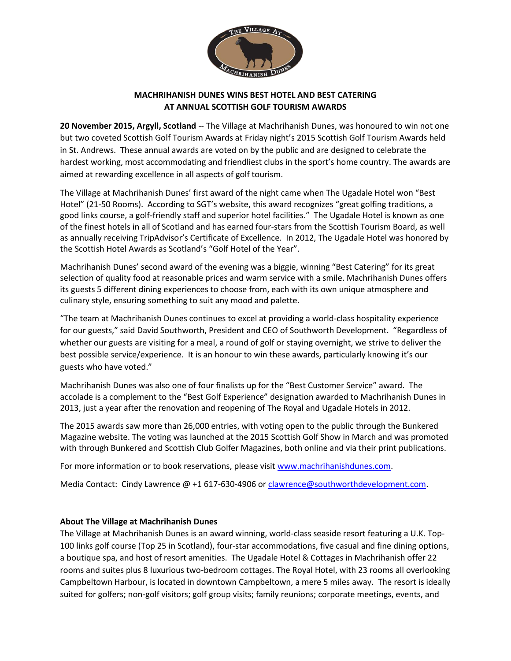

## **MACHRIHANISH DUNES WINS BEST HOTEL AND BEST CATERING AT ANNUAL SCOTTISH GOLF TOURISM AWARDS**

**20 November 2015, Argyll, Scotland** -- The Village at Machrihanish Dunes, was honoured to win not one but two coveted Scottish Golf Tourism Awards at Friday night's 2015 Scottish Golf Tourism Awards held in St. Andrews. These annual awards are voted on by the public and are designed to celebrate the hardest working, most accommodating and friendliest clubs in the sport's home country. The awards are aimed at rewarding excellence in all aspects of golf tourism.

The Village at Machrihanish Dunes' first award of the night came when The Ugadale Hotel won "Best Hotel" (21-50 Rooms). According to SGT's website, this award recognizes "great golfing traditions, a good links course, a golf-friendly staff and superior hotel facilities." The Ugadale Hotel is known as one of the finest hotels in all of Scotland and has earned four-stars from the Scottish Tourism Board, as well as annually receiving TripAdvisor's Certificate of Excellence. In 2012, The Ugadale Hotel was honored by the Scottish Hotel Awards as Scotland's "Golf Hotel of the Year".

Machrihanish Dunes' second award of the evening was a biggie, winning "Best Catering" for its great selection of quality food at reasonable prices and warm service with a smile. Machrihanish Dunes offers its guests 5 different dining experiences to choose from, each with its own unique atmosphere and culinary style, ensuring something to suit any mood and palette.

"The team at Machrihanish Dunes continues to excel at providing a world-class hospitality experience for our guests," said David Southworth, President and CEO of Southworth Development. "Regardless of whether our guests are visiting for a meal, a round of golf or staying overnight, we strive to deliver the best possible service/experience. It is an honour to win these awards, particularly knowing it's our guests who have voted."

Machrihanish Dunes was also one of four finalists up for the "Best Customer Service" award. The accolade is a complement to the "Best Golf Experience" designation awarded to Machrihanish Dunes in 2013, just a year after the renovation and reopening of The Royal and Ugadale Hotels in 2012.

The 2015 awards saw more than 26,000 entries, with voting open to the public through the Bunkered Magazine website. The voting was launched at the 2015 Scottish Golf Show in March and was promoted with through Bunkered and Scottish Club Golfer Magazines, both online and via their print publications.

For more information or to book reservations, please visit [www.machrihanishdunes.com.](http://www.machrihanishdunes.com/)

Media Contact: Cindy Lawrence @ +1 617-630-4906 o[r clawrence@southworthdevelopment.com.](mailto:clawrence@southworthdevelopment.com)

## **About The Village at Machrihanish Dunes**

The Village at Machrihanish Dunes is an award winning, world-class seaside resort featuring a U.K. Top-100 links golf course (Top 25 in Scotland), four-star accommodations, five casual and fine dining options, a boutique spa, and host of resort amenities. The Ugadale Hotel & Cottages in Machrihanish offer 22 rooms and suites plus 8 luxurious two-bedroom cottages. The Royal Hotel, with 23 rooms all overlooking Campbeltown Harbour, is located in downtown Campbeltown, a mere 5 miles away. The resort is ideally suited for golfers; non-golf visitors; golf group visits; family reunions; corporate meetings, events, and